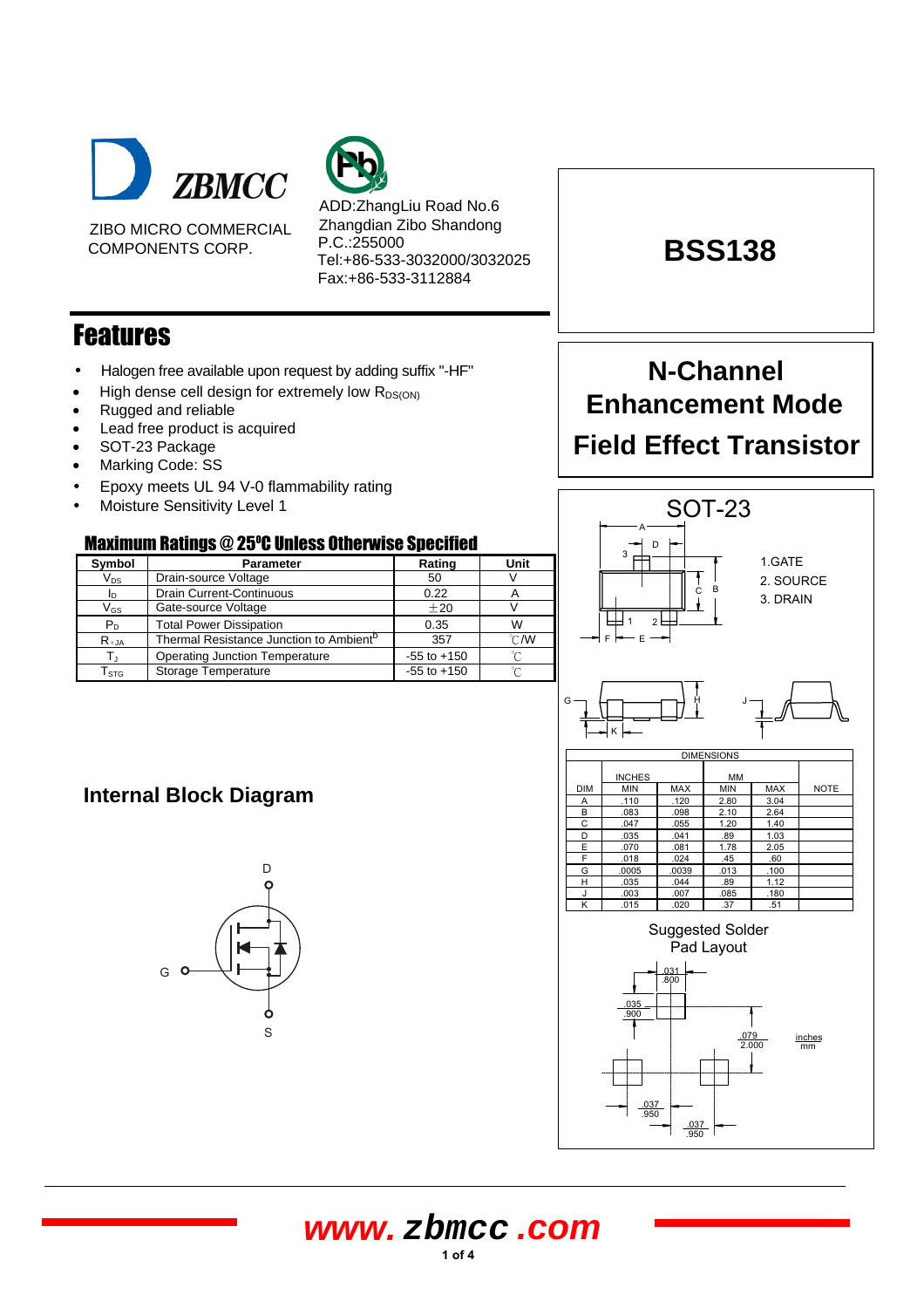

ZIBO MICRO COMMERCIAL COMPONENTS CORP.



ADD:ZhangLiu Road No.6 Zhangdian Zibo Shandong P.C.:255000 Tel:+86-533-3032000/3032025 Fax:+86-533-3112884

## Features

- Halogen free available upon request by adding suffix "-HF"
- High dense cell design for extremely low  $R_{DS(ON)}$
- Rugged and reliable
- Lead free product is acquired
- SOT-23 Package
- Marking Code: SS
- Epoxy meets UL 94 V-0 flammability rating
- Moisture Sensitivity Level 1

### **Maximum Ratings @ 25°C Unless Otherwise Specified**

| Symbol                     | <b>Parameter</b>                                    | Rating          | Unit           |  |
|----------------------------|-----------------------------------------------------|-----------------|----------------|--|
| $V_{DS}$                   | Drain-source Voltage                                | 50              |                |  |
| In.                        | Drain Current-Continuous                            | 0.22            |                |  |
| $\mathsf{V}_{\mathsf{GS}}$ | Gate-source Voltage                                 | ±20             |                |  |
| $P_D$                      | <b>Total Power Dissipation</b>                      | 0.35            | W              |  |
| $R_{\theta,JA}$            | Thermal Resistance Junction to Ambient <sup>b</sup> | 357             | $^{\circ}$ CMV |  |
|                            | <b>Operating Junction Temperature</b>               | $-55$ to $+150$ | ∽              |  |
| $\mathsf{T}_{\text{STG}}$  | Storage Temperature                                 | $-55$ to $+150$ | ∽              |  |

# **BSS138**

# **N-Channel Enhancement Mode Field Effect Transistor**



.950

.037 .950

## **Internal Block Diagram**

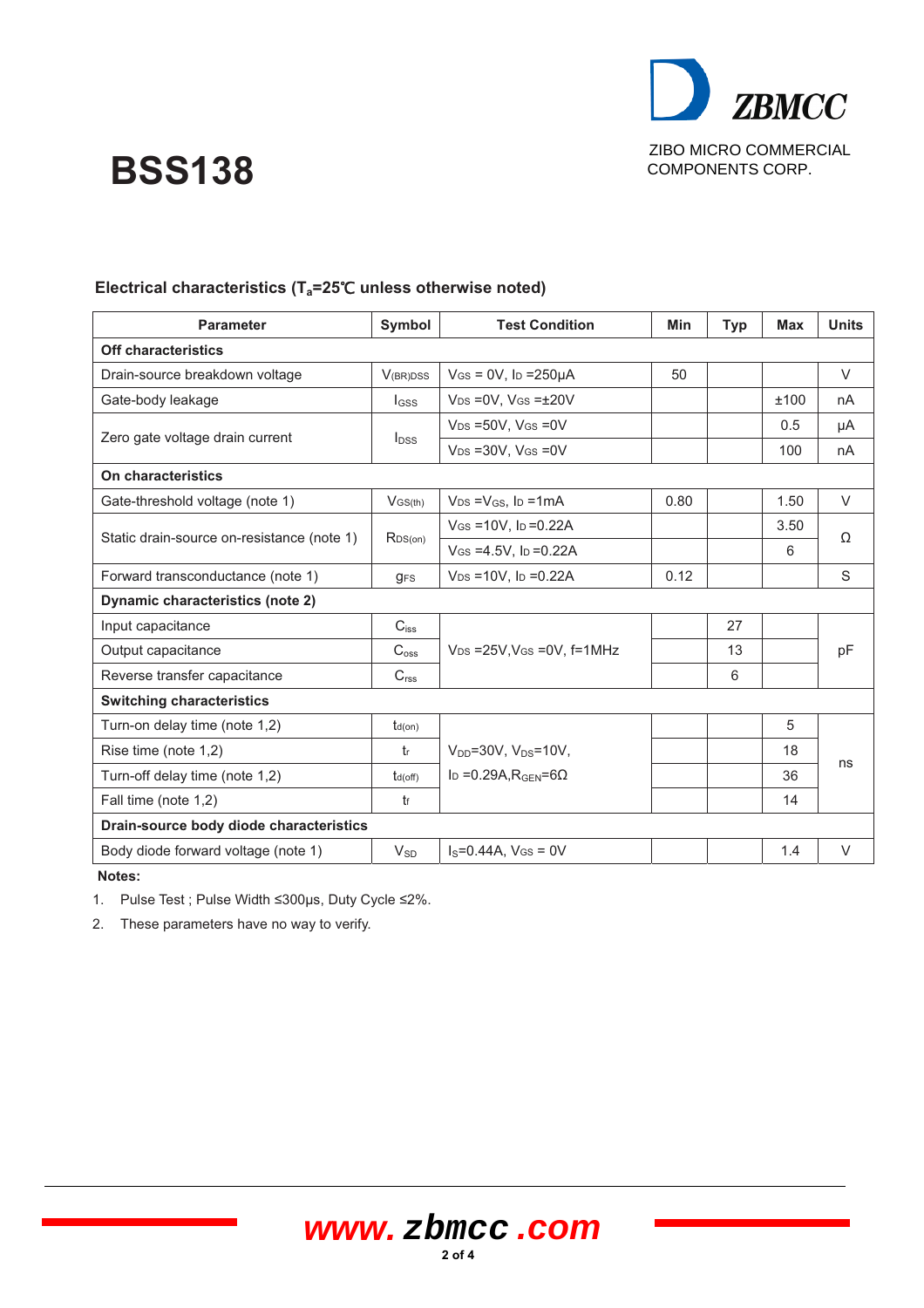

# **BSS138**

| <b>Parameter</b>                           | Symbol                        | <b>Test Condition</b>                    | <b>Min</b> | <b>Typ</b> | <b>Max</b> | <b>Units</b> |  |
|--------------------------------------------|-------------------------------|------------------------------------------|------------|------------|------------|--------------|--|
| <b>Off characteristics</b>                 |                               |                                          |            |            |            |              |  |
| Drain-source breakdown voltage             | V(BR)DSS                      | $V$ GS = 0V, lp = 250 $\mu$ A            | 50         |            |            | $\vee$       |  |
| Gate-body leakage                          | $I_{GSS}$                     | $V_{DS} = 0V$ , $V_{GS} = \pm 20V$       |            |            | ±100       | nA           |  |
| Zero gate voltage drain current            | $I_{DSS}$                     | $V_{DS} = 50V$ , $V_{GS} = 0V$           |            |            | 0.5        | μA           |  |
|                                            |                               | $V_{DS} = 30V$ , $V_{GS} = 0V$           |            |            | 100        | nA           |  |
| On characteristics                         |                               |                                          |            |            |            |              |  |
| Gate-threshold voltage (note 1)            | $V$ GS(th)                    | $V_{DS} = V_{GS}$ , lp = 1mA             | 0.80       |            | 1.50       | $\vee$       |  |
| Static drain-source on-resistance (note 1) | RDS(on)                       | $V$ GS = 10V, ID = 0.22A                 |            |            | 3.50       | Ω            |  |
|                                            |                               | $V$ GS = 4.5V, lp = 0.22A                |            |            | 6          |              |  |
| Forward transconductance (note 1)          | $g_{FS}$                      | $V_{DS} = 10V$ , lp = 0.22A              | 0.12       |            |            | S            |  |
| Dynamic characteristics (note 2)           |                               |                                          |            |            |            |              |  |
| Input capacitance                          | $C_{\hbox{\scriptsize{iss}}}$ |                                          |            | 27         |            |              |  |
| C <sub>oss</sub><br>Output capacitance     |                               | $V_{DS}$ =25V, VGs = 0V, f=1MHz          |            | 13         |            | pF           |  |
| Reverse transfer capacitance               | $C_{\text{rss}}$              |                                          |            | 6          |            |              |  |
| <b>Switching characteristics</b>           |                               |                                          |            |            |            |              |  |
| Turn-on delay time (note 1,2)              | $t_{d(on)}$                   |                                          |            |            | 5          |              |  |
| Rise time (note 1,2)                       | tr                            | $V_{DD} = 30V$ , $V_{DS} = 10V$ ,        |            |            | 18         | ns           |  |
| Turn-off delay time (note 1,2)             | $t_{d(off)}$                  | ID = 0.29A, $R_{\text{GEN}}$ =6 $\Omega$ |            |            | 36         |              |  |
| Fall time (note 1,2)                       | t                             |                                          |            |            | 14         |              |  |
| Drain-source body diode characteristics    |                               |                                          |            |            |            |              |  |
| Body diode forward voltage (note 1)        | $V_{SD}$                      | $I_S = 0.44A$ , $V_{GS} = 0V$            |            |            | 1.4        | V            |  |

### **Electrical characteristics (T<sub>a</sub>=25℃ unless otherwise noted)**

 **Notes:** 

1. Pulse Test ; Pulse Width 300µs, Duty Cycle 2%.

**2 of <sup>4</sup>**

2. These parameters have no way to verify.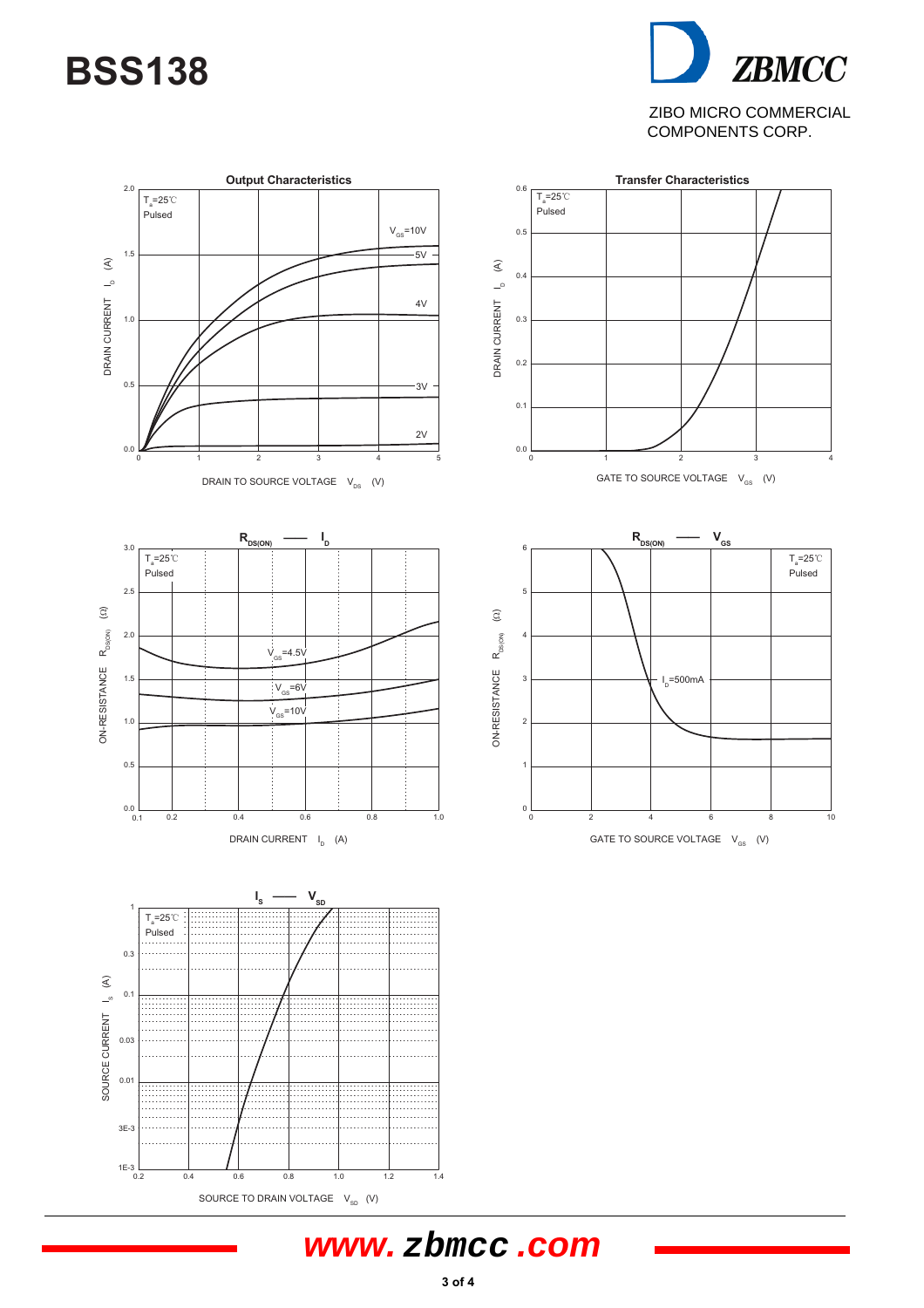# **BSS138**

**ZBMCC** ZIBO MICRO COMMERCIAL COMPONENTS CORP.



## **www. zbmcc .com**